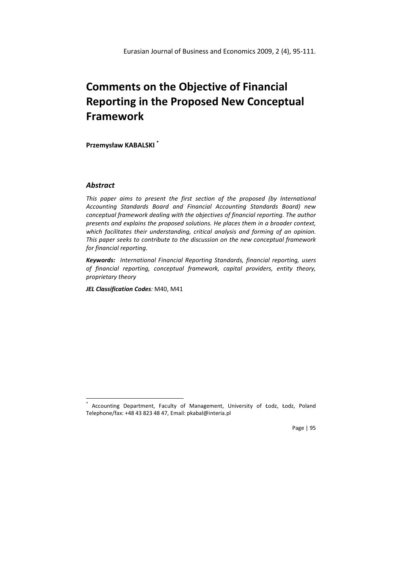# Comments on the Objective of Financial Reporting in the Proposed New Conceptual Framework

Przemysław KABALSKI \*

# Abstract

l

This paper aims to present the first section of the proposed (by International Accounting Standards Board and Financial Accounting Standards Board) new conceptual framework dealing with the objectives of financial reporting. The author presents and explains the proposed solutions. He places them in a broader context, which facilitates their understanding, critical analysis and forming of an opinion. This paper seeks to contribute to the discussion on the new conceptual framework for financial reporting.

Keywords: International Financial Reporting Standards, financial reporting, users of financial reporting, conceptual framework, capital providers, entity theory, proprietary theory

JEL Classification Codes: M40, M41

Page | 95

<sup>\*</sup> Accounting Department, Faculty of Management, University of Łodz, Łodz, Poland Telephone/fax: +48 43 823 48 47, Email: pkabal@interia.pl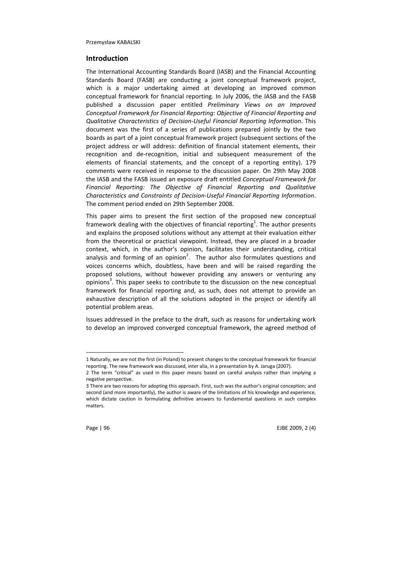## Introduction

The International Accounting Standards Board (IASB) and the Financial Accounting Standards Board (FASB) are conducting a joint conceptual framework project, which is a major undertaking aimed at developing an improved common conceptual framework for financial reporting. In July 2006, the IASB and the FASB published a discussion paper entitled Preliminary Views on an Improved Conceptual Framework for Financial Reporting: Objective of Financial Reporting and Qualitative Characteristics of Decision-Useful Financial Reporting Information. This document was the first of a series of publications prepared jointly by the two boards as part of a joint conceptual framework project (subsequent sections of the project address or will address: definition of financial statement elements, their recognition and de-recognition, initial and subsequent measurement of the elements of financial statements, and the concept of a reporting entity). 179 comments were received in response to the discussion paper. On 29th May 2008 the IASB and the FASB issued an exposure draft entitled Conceptual Framework for Financial Reporting: The Objective of Financial Reporting and Qualitative Characteristics and Constraints of Decision-Useful Financial Reporting Information. The comment period ended on 29th September 2008.

This paper aims to present the first section of the proposed new conceptual framework dealing with the objectives of financial reporting<sup>1</sup>. The author presents and explains the proposed solutions without any attempt at their evaluation either from the theoretical or practical viewpoint. Instead, they are placed in a broader context, which, in the author's opinion, facilitates their understanding, critical analysis and forming of an opinion<sup>2</sup>. The author also formulates questions and voices concerns which, doubtless, have been and will be raised regarding the proposed solutions, without however providing any answers or venturing any  $\sigma$ pinions<sup>3</sup>. This paper seeks to contribute to the discussion on the new conceptual framework for financial reporting and, as such, does not attempt to provide an exhaustive description of all the solutions adopted in the project or identify all potential problem areas.

Issues addressed in the preface to the draft, such as reasons for undertaking work to develop an improved converged conceptual framework, the agreed method of

<sup>3</sup> There are two reasons for adopting this approach. First, such was the author's original conception; and second (and more importantly), the author is aware of the limitations of his knowledge and experience, which dictate caution in formulating definitive answers to fundamental questions in such complex matters.



Page | 96 EJBE 2009, 2 (4)

<sup>1</sup> Naturally, we are not the first (in Poland) to present changes to the conceptual framework for financial reporting. The new framework was discussed, inter alia, in a presentation by A. Jaruga (2007).

<sup>2</sup> The term "critical" as used in this paper means based on careful analysis rather than implying a negative perspective.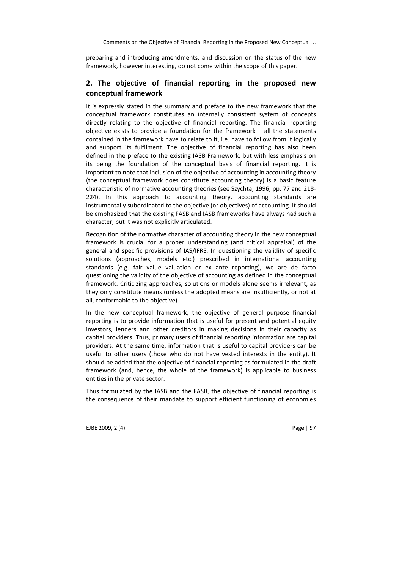Comments on the Objective of Financial Reporting in the Proposed New Conceptual ...

preparing and introducing amendments, and discussion on the status of the new framework, however interesting, do not come within the scope of this paper.

# 2. The objective of financial reporting in the proposed new conceptual framework

It is expressly stated in the summary and preface to the new framework that the conceptual framework constitutes an internally consistent system of concepts directly relating to the objective of financial reporting. The financial reporting objective exists to provide a foundation for the framework – all the statements contained in the framework have to relate to it, i.e. have to follow from it logically and support its fulfilment. The objective of financial reporting has also been defined in the preface to the existing IASB Framework, but with less emphasis on its being the foundation of the conceptual basis of financial reporting. It is important to note that inclusion of the objective of accounting in accounting theory (the conceptual framework does constitute accounting theory) is a basic feature characteristic of normative accounting theories (see Szychta, 1996, pp. 77 and 218- 224). In this approach to accounting theory, accounting standards are instrumentally subordinated to the objective (or objectives) of accounting. It should be emphasized that the existing FASB and IASB frameworks have always had such a character, but it was not explicitly articulated.

Recognition of the normative character of accounting theory in the new conceptual framework is crucial for a proper understanding (and critical appraisal) of the general and specific provisions of IAS/IFRS. In questioning the validity of specific solutions (approaches, models etc.) prescribed in international accounting standards (e.g. fair value valuation or ex ante reporting), we are de facto questioning the validity of the objective of accounting as defined in the conceptual framework. Criticizing approaches, solutions or models alone seems irrelevant, as they only constitute means (unless the adopted means are insufficiently, or not at all, conformable to the objective).

In the new conceptual framework, the objective of general purpose financial reporting is to provide information that is useful for present and potential equity investors, lenders and other creditors in making decisions in their capacity as capital providers. Thus, primary users of financial reporting information are capital providers. At the same time, information that is useful to capital providers can be useful to other users (those who do not have vested interests in the entity). It should be added that the objective of financial reporting as formulated in the draft framework (and, hence, the whole of the framework) is applicable to business entities in the private sector.

Thus formulated by the IASB and the FASB, the objective of financial reporting is the consequence of their mandate to support efficient functioning of economies

EJBE 2009, 2 (4) Page 1 97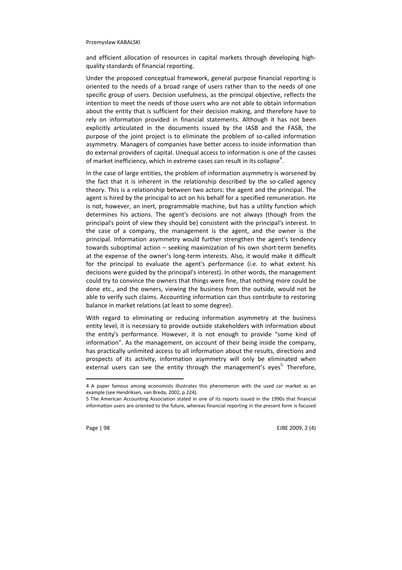and efficient allocation of resources in capital markets through developing highquality standards of financial reporting.

Under the proposed conceptual framework, general purpose financial reporting is oriented to the needs of a broad range of users rather than to the needs of one specific group of users. Decision usefulness, as the principal objective, reflects the intention to meet the needs of those users who are not able to obtain information about the entity that is sufficient for their decision making, and therefore have to rely on information provided in financial statements. Although it has not been explicitly articulated in the documents issued by the IASB and the FASB, the purpose of the joint project is to eliminate the problem of so-called information asymmetry. Managers of companies have better access to inside information than do external providers of capital. Unequal access to information is one of the causes of market inefficiency, which in extreme cases can result in its collapse<sup>4</sup>.

In the case of large entities, the problem of information asymmetry is worsened by the fact that it is inherent in the relationship described by the so-called agency theory. This is a relationship between two actors: the agent and the principal. The agent is hired by the principal to act on his behalf for a specified remuneration. He is not, however, an inert, programmable machine, but has a utility function which determines his actions. The agent's decisions are not always (though from the principal's point of view they should be) consistent with the principal's interest. In the case of a company, the management is the agent, and the owner is the principal. Information asymmetry would further strengthen the agent's tendency towards suboptimal action – seeking maximization of his own short-term benefits at the expense of the owner's long-term interests. Also, it would make it difficult for the principal to evaluate the agent's performance (i.e. to what extent his decisions were guided by the principal's interest). In other words, the management could try to convince the owners that things were fine, that nothing more could be done etc., and the owners, viewing the business from the outside, would not be able to verify such claims. Accounting information can thus contribute to restoring balance in market relations (at least to some degree).

With regard to eliminating or reducing information asymmetry at the business entity level, it is necessary to provide outside stakeholders with information about the entity's performance. However, it is not enough to provide "some kind of information". As the management, on account of their being inside the company, has practically unlimited access to all information about the results, directions and prospects of its activity, information asymmetry will only be eliminated when external users can see the entity through the management's eyes $5$ . Therefore,

 $\overline{a}$ 

Page | 98 EJBE 2009, 2 (4)

<sup>4</sup> A paper famous among economists illustrates this phenomenon with the used car market as an example (see Hendriksen, van Breda, 2002, p.224).

<sup>5</sup> The American Accounting Association stated in one of its reports issued in the 1990s that financial information users are oriented to the future, whereas financial reporting in the present form is focused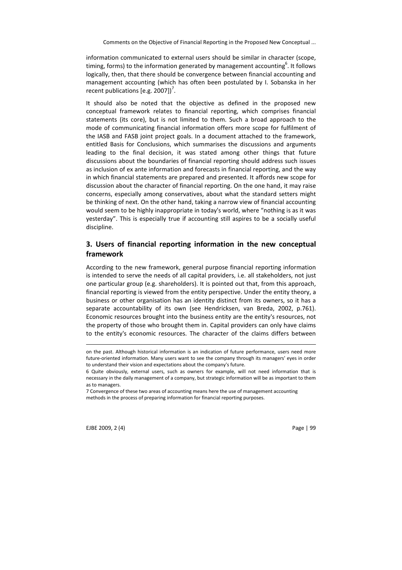information communicated to external users should be similar in character (scope, timing, forms) to the information generated by management accounting $^6$ . It follows logically, then, that there should be convergence between financial accounting and management accounting (which has often been postulated by I. Sobanska in her recent publications [e.g. 2007])<sup>7</sup>.

It should also be noted that the objective as defined in the proposed new conceptual framework relates to financial reporting, which comprises financial statements (its core), but is not limited to them. Such a broad approach to the mode of communicating financial information offers more scope for fulfilment of the IASB and FASB joint project goals. In a document attached to the framework, entitled Basis for Conclusions, which summarises the discussions and arguments leading to the final decision, it was stated among other things that future discussions about the boundaries of financial reporting should address such issues as inclusion of ex ante information and forecasts in financial reporting, and the way in which financial statements are prepared and presented. It affords new scope for discussion about the character of financial reporting. On the one hand, it may raise concerns, especially among conservatives, about what the standard setters might be thinking of next. On the other hand, taking a narrow view of financial accounting would seem to be highly inappropriate in today's world, where "nothing is as it was yesterday". This is especially true if accounting still aspires to be a socially useful discipline.

# 3. Users of financial reporting information in the new conceptual framework

According to the new framework, general purpose financial reporting information is intended to serve the needs of all capital providers, i.e. all stakeholders, not just one particular group (e.g. shareholders). It is pointed out that, from this approach, financial reporting is viewed from the entity perspective. Under the entity theory, a business or other organisation has an identity distinct from its owners, so it has a separate accountability of its own (see Hendricksen, van Breda, 2002, p.761). Economic resources brought into the business entity are the entity's resources, not the property of those who brought them in. Capital providers can only have claims to the entity's economic resources. The character of the claims differs between

EJBE 2009, 2 (4) Page | 99

-

on the past. Although historical information is an indication of future performance, users need more future-oriented information. Many users want to see the company through its managers' eyes in order to understand their vision and expectations about the company's future.

<sup>6</sup> Quite obviously, external users, such as owners for example, will not need information that is necessary in the daily management of a company, but strategic information will be as important to them as to managers.

<sup>7</sup> Convergence of these two areas of accounting means here the use of management accounting methods in the process of preparing information for financial reporting purposes.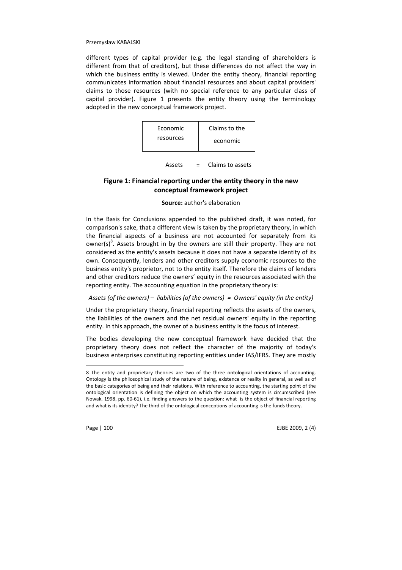different types of capital provider (e.g. the legal standing of shareholders is different from that of creditors), but these differences do not affect the way in which the business entity is viewed. Under the entity theory, financial reporting communicates information about financial resources and about capital providers' claims to those resources (with no special reference to any particular class of capital provider). Figure 1 presents the entity theory using the terminology adopted in the new conceptual framework project.



Assets = Claims to assets

# Figure 1: Financial reporting under the entity theory in the new conceptual framework project

#### Source: author's elaboration

In the Basis for Conclusions appended to the published draft, it was noted, for comparison's sake, that a different view is taken by the proprietary theory, in which the financial aspects of a business are not accounted for separately from its owner(s) $^{8}$ . Assets brought in by the owners are still their property. They are not considered as the entity's assets because it does not have a separate identity of its own. Consequently, lenders and other creditors supply economic resources to the business entity's proprietor, not to the entity itself. Therefore the claims of lenders and other creditors reduce the owners' equity in the resources associated with the reporting entity. The accounting equation in the proprietary theory is:

#### Assets (of the owners) – liabilities (of the owners) = Owners' equity (in the entity)

Under the proprietary theory, financial reporting reflects the assets of the owners, the liabilities of the owners and the net residual owners' equity in the reporting entity. In this approach, the owner of a business entity is the focus of interest.

The bodies developing the new conceptual framework have decided that the proprietary theory does not reflect the character of the majority of today's business enterprises constituting reporting entities under IAS/IFRS. They are mostly

 $\overline{a}$ 

Page | 100 EJBE 2009, 2 (4)

<sup>8</sup> The entity and proprietary theories are two of the three ontological orientations of accounting. Ontology is the philosophical study of the nature of being, existence or reality in general, as well as of the basic categories of being and their relations. With reference to accounting, the starting point of the ontological orientation is defining the object on which the accounting system is circumscribed (see Nowak, 1998, pp. 60-61), i.e. finding answers to the question: what is the object of financial reporting and what is its identity? The third of the ontological conceptions of accounting is the funds theory.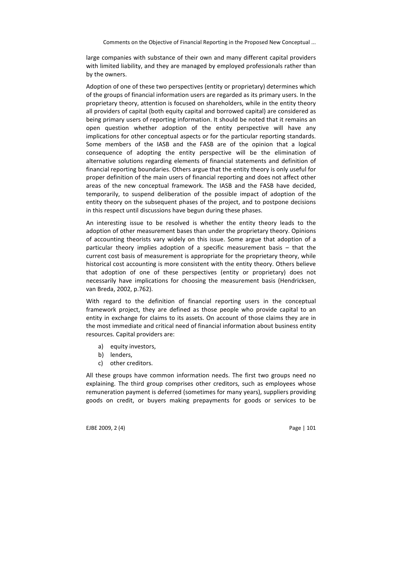Comments on the Objective of Financial Reporting in the Proposed New Conceptual ...

large companies with substance of their own and many different capital providers with limited liability, and they are managed by employed professionals rather than by the owners.

Adoption of one of these two perspectives (entity or proprietary) determines which of the groups of financial information users are regarded as its primary users. In the proprietary theory, attention is focused on shareholders, while in the entity theory all providers of capital (both equity capital and borrowed capital) are considered as being primary users of reporting information. It should be noted that it remains an open question whether adoption of the entity perspective will have any implications for other conceptual aspects or for the particular reporting standards. Some members of the IASB and the FASB are of the opinion that a logical consequence of adopting the entity perspective will be the elimination of alternative solutions regarding elements of financial statements and definition of financial reporting boundaries. Others argue that the entity theory is only useful for proper definition of the main users of financial reporting and does not affect other areas of the new conceptual framework. The IASB and the FASB have decided, temporarily, to suspend deliberation of the possible impact of adoption of the entity theory on the subsequent phases of the project, and to postpone decisions in this respect until discussions have begun during these phases.

An interesting issue to be resolved is whether the entity theory leads to the adoption of other measurement bases than under the proprietary theory. Opinions of accounting theorists vary widely on this issue. Some argue that adoption of a particular theory implies adoption of a specific measurement basis – that the current cost basis of measurement is appropriate for the proprietary theory, while historical cost accounting is more consistent with the entity theory. Others believe that adoption of one of these perspectives (entity or proprietary) does not necessarily have implications for choosing the measurement basis (Hendricksen, van Breda, 2002, p.762).

With regard to the definition of financial reporting users in the conceptual framework project, they are defined as those people who provide capital to an entity in exchange for claims to its assets. On account of those claims they are in the most immediate and critical need of financial information about business entity resources. Capital providers are:

- a) equity investors,
- b) lenders,
- c) other creditors.

All these groups have common information needs. The first two groups need no explaining. The third group comprises other creditors, such as employees whose remuneration payment is deferred (sometimes for many years), suppliers providing goods on credit, or buyers making prepayments for goods or services to be

EJBE 2009, 2 (4) Page | 101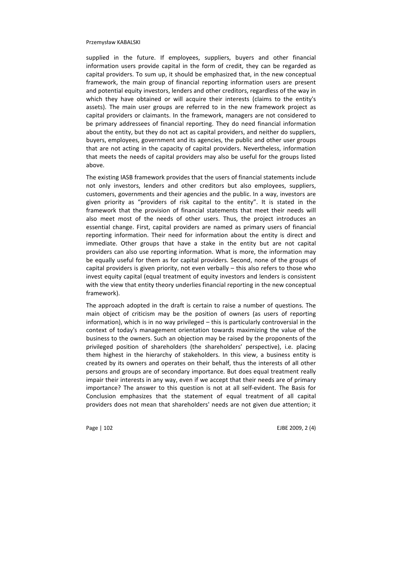supplied in the future. If employees, suppliers, buyers and other financial information users provide capital in the form of credit, they can be regarded as capital providers. To sum up, it should be emphasized that, in the new conceptual framework, the main group of financial reporting information users are present and potential equity investors, lenders and other creditors, regardless of the way in which they have obtained or will acquire their interests (claims to the entity's assets). The main user groups are referred to in the new framework project as capital providers or claimants. In the framework, managers are not considered to be primary addressees of financial reporting. They do need financial information about the entity, but they do not act as capital providers, and neither do suppliers, buyers, employees, government and its agencies, the public and other user groups that are not acting in the capacity of capital providers. Nevertheless, information that meets the needs of capital providers may also be useful for the groups listed above.

The existing IASB framework provides that the users of financial statements include not only investors, lenders and other creditors but also employees, suppliers, customers, governments and their agencies and the public. In a way, investors are given priority as "providers of risk capital to the entity". It is stated in the framework that the provision of financial statements that meet their needs will also meet most of the needs of other users. Thus, the project introduces an essential change. First, capital providers are named as primary users of financial reporting information. Their need for information about the entity is direct and immediate. Other groups that have a stake in the entity but are not capital providers can also use reporting information. What is more, the information may be equally useful for them as for capital providers. Second, none of the groups of capital providers is given priority, not even verbally – this also refers to those who invest equity capital (equal treatment of equity investors and lenders is consistent with the view that entity theory underlies financial reporting in the new conceptual framework).

The approach adopted in the draft is certain to raise a number of questions. The main object of criticism may be the position of owners (as users of reporting information), which is in no way privileged – this is particularly controversial in the context of today's management orientation towards maximizing the value of the business to the owners. Such an objection may be raised by the proponents of the privileged position of shareholders (the shareholders' perspective), i.e. placing them highest in the hierarchy of stakeholders. In this view, a business entity is created by its owners and operates on their behalf, thus the interests of all other persons and groups are of secondary importance. But does equal treatment really impair their interests in any way, even if we accept that their needs are of primary importance? The answer to this question is not at all self-evident. The Basis for Conclusion emphasizes that the statement of equal treatment of all capital providers does not mean that shareholders' needs are not given due attention; it

Page | 102 EJBE 2009, 2 (4)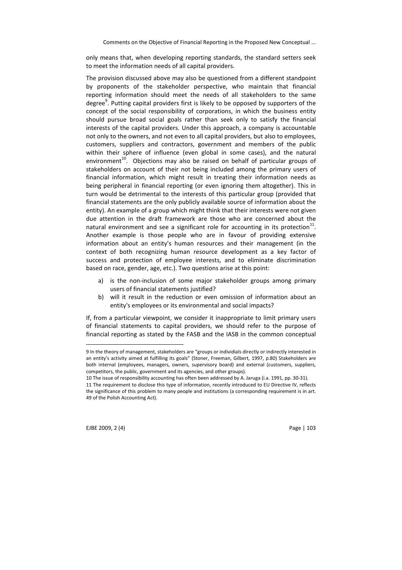only means that, when developing reporting standards, the standard setters seek to meet the information needs of all capital providers.

The provision discussed above may also be questioned from a different standpoint by proponents of the stakeholder perspective, who maintain that financial reporting information should meet the needs of all stakeholders to the same degree<sup>9</sup>. Putting capital providers first is likely to be opposed by supporters of the concept of the social responsibility of corporations, in which the business entity should pursue broad social goals rather than seek only to satisfy the financial interests of the capital providers. Under this approach, a company is accountable not only to the owners, and not even to all capital providers, but also to employees, customers, suppliers and contractors, government and members of the public within their sphere of influence (even global in some cases), and the natural environment<sup>10</sup>. Objections may also be raised on behalf of particular groups of stakeholders on account of their not being included among the primary users of financial information, which might result in treating their information needs as being peripheral in financial reporting (or even ignoring them altogether). This in turn would be detrimental to the interests of this particular group (provided that financial statements are the only publicly available source of information about the entity). An example of a group which might think that their interests were not given due attention in the draft framework are those who are concerned about the natural environment and see a significant role for accounting in its protection $^{11}$ . Another example is those people who are in favour of providing extensive information about an entity's human resources and their management (in the context of both recognizing human resource development as a key factor of success and protection of employee interests, and to eliminate discrimination based on race, gender, age, etc.). Two questions arise at this point:

- a) is the non-inclusion of some major stakeholder groups among primary users of financial statements justified?
- b) will it result in the reduction or even omission of information about an entity's employees or its environmental and social impacts?

If, from a particular viewpoint, we consider it inappropriate to limit primary users of financial statements to capital providers, we should refer to the purpose of financial reporting as stated by the FASB and the IASB in the common conceptual

10 The issue of responsibility accounting has often been addressed by A. Jaruga (i.a. 1991, pp. 30-31).

EJBE 2009, 2 (4) Page | 103

 $\overline{a}$ 

<sup>9</sup> In the theory of management, stakeholders are "groups or individials directly or indirectly interested in an entity's activity aimed at fulfilling its goals" (Stoner, Freeman, Gilbert, 1997, p.80) Stakeholders are both internal (employees, managers, owners, supervisory board) and external (customers, suppliers, competitors, the public, government and its agencies, and other groups).

<sup>11</sup> The requirement to disclose this type of information, recently introduced to EU Directive IV, reflects the significance of this problem to many people and institutions (a corresponding requirement is in art. 49 of the Polish Accounting Act).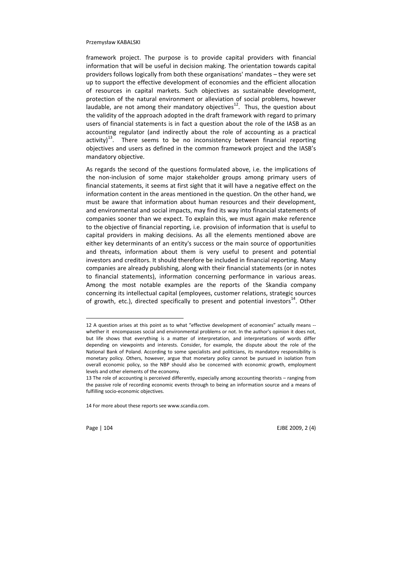framework project. The purpose is to provide capital providers with financial information that will be useful in decision making. The orientation towards capital providers follows logically from both these organisations' mandates – they were set up to support the effective development of economies and the efficient allocation of resources in capital markets. Such objectives as sustainable development, protection of the natural environment or alleviation of social problems, however laudable, are not among their mandatory objectives $12$ . Thus, the question about the validity of the approach adopted in the draft framework with regard to primary users of financial statements is in fact a question about the role of the IASB as an accounting regulator (and indirectly about the role of accounting as a practical activity)<sup>13</sup>. There seems to be no inconsistency between financial reporting objectives and users as defined in the common framework project and the IASB's mandatory objective.

As regards the second of the questions formulated above, i.e. the implications of the non-inclusion of some major stakeholder groups among primary users of financial statements, it seems at first sight that it will have a negative effect on the information content in the areas mentioned in the question. On the other hand, we must be aware that information about human resources and their development, and environmental and social impacts, may find its way into financial statements of companies sooner than we expect. To explain this, we must again make reference to the objective of financial reporting, i.e. provision of information that is useful to capital providers in making decisions. As all the elements mentioned above are either key determinants of an entity's success or the main source of opportunities and threats, information about them is very useful to present and potential investors and creditors. It should therefore be included in financial reporting. Many companies are already publishing, along with their financial statements (or in notes to financial statements), information concerning performance in various areas. Among the most notable examples are the reports of the Skandia company concerning its intellectual capital (employees, customer relations, strategic sources of growth, etc.), directed specifically to present and potential investors<sup>14</sup>. Other

14 For more about these reports see www.scandia.com.

 $\overline{a}$ 

Page | 104 EJBE 2009, 2 (4)

<sup>12</sup> A question arises at this point as to what "effective development of economies" actually means - whether it encompasses social and environmental problems or not. In the author's opinion it does not, but life shows that everything is a matter of interpretation, and interpretations of words differ depending on viewpoints and interests. Consider, for example, the dispute about the role of the National Bank of Poland. According to some specialists and politicians, its mandatory responsibility is monetary policy. Others, however, argue that monetary policy cannot be pursued in isolation from overall economic policy, so the NBP should also be concerned with economic growth, employment levels and other elements of the economy.

<sup>13</sup> The role of accounting is perceived differently, especially among accounting theorists – ranging from the passive role of recording economic events through to being an information source and a means of fulfilling socio-economic objectives.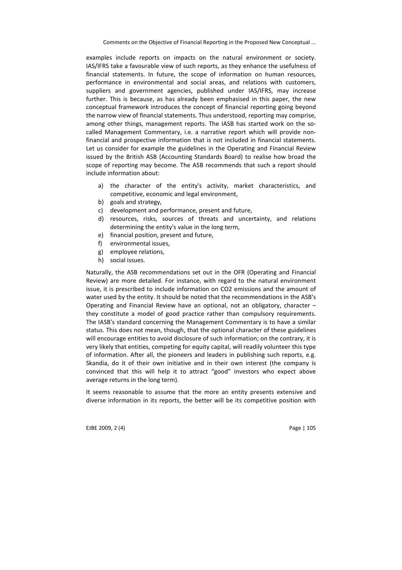examples include reports on impacts on the natural environment or society. IAS/IFRS take a favourable view of such reports, as they enhance the usefulness of financial statements. In future, the scope of information on human resources, performance in environmental and social areas, and relations with customers, suppliers and government agencies, published under IAS/IFRS, may increase further. This is because, as has already been emphasised in this paper, the new conceptual framework introduces the concept of financial reporting going beyond the narrow view of financial statements. Thus understood, reporting may comprise, among other things, management reports. The IASB has started work on the socalled Management Commentary, i.e. a narrative report which will provide nonfinancial and prospective information that is not included in financial statements. Let us consider for example the guidelines in the Operating and Financial Review issued by the British ASB (Accounting Standards Board) to realise how broad the scope of reporting may become. The ASB recommends that such a report should include information about:

- a) the character of the entity's activity, market characteristics, and competitive, economic and legal environment,
- b) goals and strategy,
- c) development and performance, present and future,
- d) resources, risks, sources of threats and uncertainty, and relations determining the entity's value in the long term,
- e) financial position, present and future,
- f) environmental issues,
- g) employee relations,
- h) social issues.

Naturally, the ASB recommendations set out in the OFR (Operating and Financial Review) are more detailed. For instance, with regard to the natural environment issue, it is prescribed to include information on CO2 emissions and the amount of water used by the entity. It should be noted that the recommendations in the ASB's Operating and Financial Review have an optional, not an obligatory, character – they constitute a model of good practice rather than compulsory requirements. The IASB's standard concerning the Management Commentary is to have a similar status. This does not mean, though, that the optional character of these guidelines will encourage entities to avoid disclosure of such information; on the contrary, it is very likely that entities, competing for equity capital, will readily volunteer this type of information. After all, the pioneers and leaders in publishing such reports, e.g. Skandia, do it of their own initiative and in their own interest (the company is convinced that this will help it to attract "good" investors who expect above average returns in the long term).

It seems reasonable to assume that the more an entity presents extensive and diverse information in its reports, the better will be its competitive position with

EJBE 2009, 2 (4) Page | 105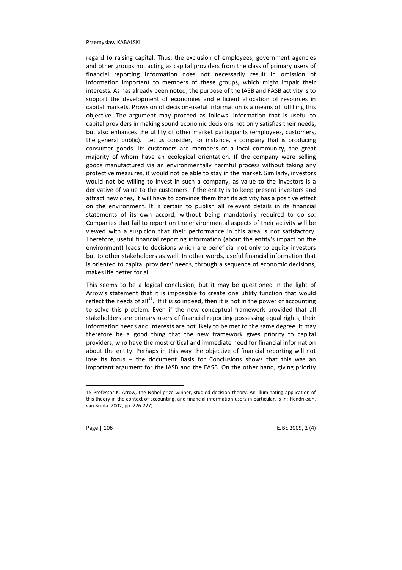regard to raising capital. Thus, the exclusion of employees, government agencies and other groups not acting as capital providers from the class of primary users of financial reporting information does not necessarily result in omission of information important to members of these groups, which might impair their interests. As has already been noted, the purpose of the IASB and FASB activity is to support the development of economies and efficient allocation of resources in capital markets. Provision of decision-useful information is a means of fulfilling this objective. The argument may proceed as follows: information that is useful to capital providers in making sound economic decisions not only satisfies their needs, but also enhances the utility of other market participants (employees, customers, the general public). Let us consider, for instance, a company that is producing consumer goods. Its customers are members of a local community, the great majority of whom have an ecological orientation. If the company were selling goods manufactured via an environmentally harmful process without taking any protective measures, it would not be able to stay in the market. Similarly, investors would not be willing to invest in such a company, as value to the investors is a derivative of value to the customers. If the entity is to keep present investors and attract new ones, it will have to convince them that its activity has a positive effect on the environment. It is certain to publish all relevant details in its financial statements of its own accord, without being mandatorily required to do so. Companies that fail to report on the environmental aspects of their activity will be viewed with a suspicion that their performance in this area is not satisfactory. Therefore, useful financial reporting information (about the entity's impact on the environment) leads to decisions which are beneficial not only to equity investors but to other stakeholders as well. In other words, useful financial information that is oriented to capital providers' needs, through a sequence of economic decisions, makes life better for all.

This seems to be a logical conclusion, but it may be questioned in the light of Arrow's statement that it is impossible to create one utility function that would reflect the needs of all<sup>15</sup>. If it is so indeed, then it is not in the power of accounting to solve this problem. Even if the new conceptual framework provided that all stakeholders are primary users of financial reporting possessing equal rights, their information needs and interests are not likely to be met to the same degree. It may therefore be a good thing that the new framework gives priority to capital providers, who have the most critical and immediate need for financial information about the entity. Perhaps in this way the objective of financial reporting will not lose its focus – the document Basis for Conclusions shows that this was an important argument for the IASB and the FASB. On the other hand, giving priority

 $\overline{a}$ 

Page | 106 **EJBE 2009, 2** (4)

<sup>15</sup> Professor K. Arrow, the Nobel prize winner, studied decision theory. An illuminating application of this theory in the context of accounting, and financial information users in particular, is in: Hendriksen, van Breda (2002, pp. 226-227)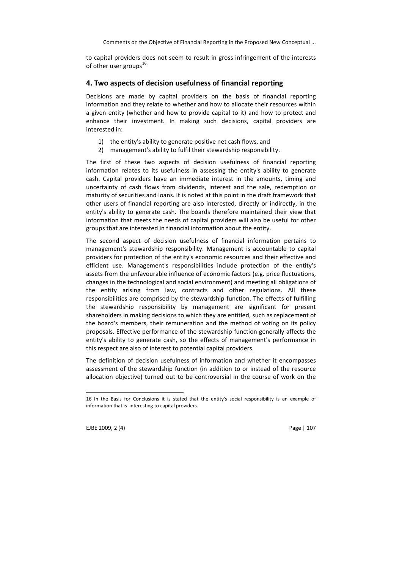to capital providers does not seem to result in gross infringement of the interests of other user groups $^{16}$ .

## 4. Two aspects of decision usefulness of financial reporting

Decisions are made by capital providers on the basis of financial reporting information and they relate to whether and how to allocate their resources within a given entity (whether and how to provide capital to it) and how to protect and enhance their investment. In making such decisions, capital providers are interested in:

- 1) the entity's ability to generate positive net cash flows, and
- 2) management's ability to fulfil their stewardship responsibility.

The first of these two aspects of decision usefulness of financial reporting information relates to its usefulness in assessing the entity's ability to generate cash. Capital providers have an immediate interest in the amounts, timing and uncertainty of cash flows from dividends, interest and the sale, redemption or maturity of securities and loans. It is noted at this point in the draft framework that other users of financial reporting are also interested, directly or indirectly, in the entity's ability to generate cash. The boards therefore maintained their view that information that meets the needs of capital providers will also be useful for other groups that are interested in financial information about the entity.

The second aspect of decision usefulness of financial information pertains to management's stewardship responsibility. Management is accountable to capital providers for protection of the entity's economic resources and their effective and efficient use. Management's responsibilities include protection of the entity's assets from the unfavourable influence of economic factors (e.g. price fluctuations, changes in the technological and social environment) and meeting all obligations of the entity arising from law, contracts and other regulations. All these responsibilities are comprised by the stewardship function. The effects of fulfilling the stewardship responsibility by management are significant for present shareholders in making decisions to which they are entitled, such as replacement of the board's members, their remuneration and the method of voting on its policy proposals. Effective performance of the stewardship function generally affects the entity's ability to generate cash, so the effects of management's performance in this respect are also of interest to potential capital providers.

The definition of decision usefulness of information and whether it encompasses assessment of the stewardship function (in addition to or instead of the resource allocation objective) turned out to be controversial in the course of work on the

EJBE 2009, 2 (4) Page | 107

 $\overline{a}$ 

<sup>16</sup> In the Basis for Conclusions it is stated that the entity's social responsibility is an example of information that is interesting to capital providers.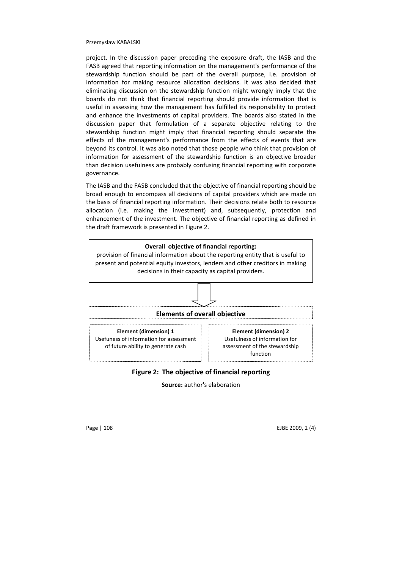project. In the discussion paper preceding the exposure draft, the IASB and the FASB agreed that reporting information on the management's performance of the stewardship function should be part of the overall purpose, i.e. provision of information for making resource allocation decisions. It was also decided that eliminating discussion on the stewardship function might wrongly imply that the boards do not think that financial reporting should provide information that is useful in assessing how the management has fulfilled its responsibility to protect and enhance the investments of capital providers. The boards also stated in the discussion paper that formulation of a separate objective relating to the stewardship function might imply that financial reporting should separate the effects of the management's performance from the effects of events that are beyond its control. It was also noted that those people who think that provision of information for assessment of the stewardship function is an objective broader than decision usefulness are probably confusing financial reporting with corporate governance.

The IASB and the FASB concluded that the objective of financial reporting should be broad enough to encompass all decisions of capital providers which are made on the basis of financial reporting information. Their decisions relate both to resource allocation (i.e. making the investment) and, subsequently, protection and enhancement of the investment. The objective of financial reporting as defined in the draft framework is presented in Figure 2.



## Figure 2: The objective of financial reporting

Source: author's elaboration

Page | 108 EJBE 2009, 2 (4)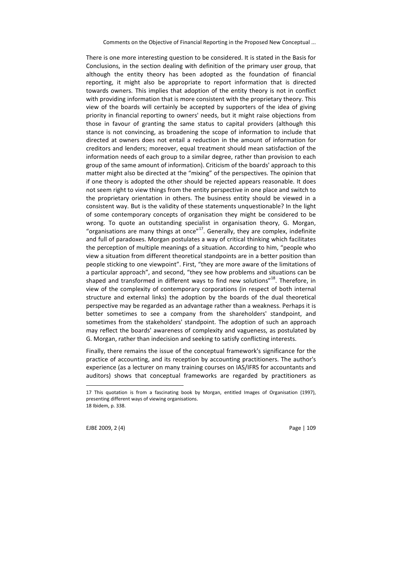There is one more interesting question to be considered. It is stated in the Basis for Conclusions, in the section dealing with definition of the primary user group, that although the entity theory has been adopted as the foundation of financial reporting, it might also be appropriate to report information that is directed towards owners. This implies that adoption of the entity theory is not in conflict with providing information that is more consistent with the proprietary theory. This view of the boards will certainly be accepted by supporters of the idea of giving priority in financial reporting to owners' needs, but it might raise objections from those in favour of granting the same status to capital providers (although this stance is not convincing, as broadening the scope of information to include that directed at owners does not entail a reduction in the amount of information for creditors and lenders; moreover, equal treatment should mean satisfaction of the information needs of each group to a similar degree, rather than provision to each group of the same amount of information). Criticism of the boards' approach to this matter might also be directed at the "mixing" of the perspectives. The opinion that if one theory is adopted the other should be rejected appears reasonable. It does not seem right to view things from the entity perspective in one place and switch to the proprietary orientation in others. The business entity should be viewed in a consistent way. But is the validity of these statements unquestionable? In the light of some contemporary concepts of organisation they might be considered to be wrong. To quote an outstanding specialist in organisation theory, G. Morgan, "organisations are many things at once" $17$ . Generally, they are complex, indefinite and full of paradoxes. Morgan postulates a way of critical thinking which facilitates the perception of multiple meanings of a situation. According to him, "people who view a situation from different theoretical standpoints are in a better position than people sticking to one viewpoint". First, "they are more aware of the limitations of a particular approach", and second, "they see how problems and situations can be shaped and transformed in different ways to find new solutions"<sup>18</sup>. Therefore, in view of the complexity of contemporary corporations (in respect of both internal structure and external links) the adoption by the boards of the dual theoretical perspective may be regarded as an advantage rather than a weakness. Perhaps it is better sometimes to see a company from the shareholders' standpoint, and sometimes from the stakeholders' standpoint. The adoption of such an approach may reflect the boards' awareness of complexity and vagueness, as postulated by G. Morgan, rather than indecision and seeking to satisfy conflicting interests.

Finally, there remains the issue of the conceptual framework's significance for the practice of accounting, and its reception by accounting practitioners. The author's experience (as a lecturer on many training courses on IAS/IFRS for accountants and auditors) shows that conceptual frameworks are regarded by practitioners as

EJBE 2009, 2 (4) Page | 109

 $\overline{a}$ 

<sup>17</sup> This quotation is from a fascinating book by Morgan, entitled Images of Organisation (1997), presenting different ways of viewing organisations. 18 Ibidem, p. 338.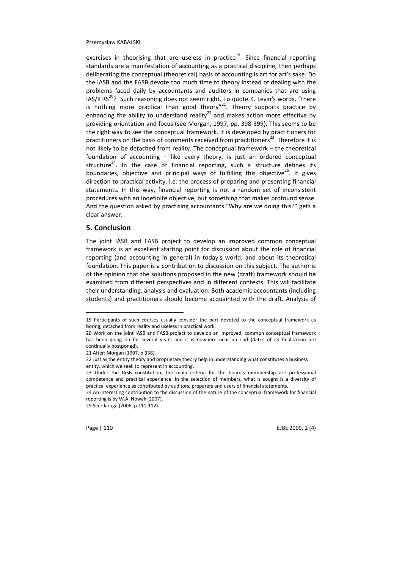exercises in theorising that are useless in practice<sup>19</sup>. Since financial reporting standards are a manifestation of accounting as a practical discipline, then perhaps deliberating the conceptual (theoretical) basis of accounting is art for art's sake. Do the IASB and the FASB devote too much time to theory instead of dealing with the problems faced daily by accountants and auditors in companies that are using IAS/IFRS<sup>20</sup>? Such reasoning does not seem right. To quote K. Levin's words, "there is nothing more practical than good theory"<sup>21</sup>. Theory supports practice by enhancing the ability to understand reality<sup>22</sup> and makes action more effective by providing orientation and focus (see Morgan, 1997, pp. 398-399). This seems to be the right way to see the conceptual framework. It is developed by practitioners for practitioners on the basis of comments received from practitioners<sup>23</sup>. Therefore it is not likely to be detached from reality. The conceptual framework – the theoretical foundation of accounting – like every theory, is just an ordered conceptual structure<sup>24</sup>. In the case of financial reporting, such a structure defines its boundaries, objective and principal ways of fulfilling this objective<sup>25</sup>. It gives direction to practical activity, i.e. the process of preparing and presenting financial statements. In this way, financial reporting is not a random set of inconsistent procedures with an indefinite objective, but something that makes profound sense. And the question asked by practising accountants "Why are we doing this?" gets a clear answer.

## 5. Conclusion

The joint IASB and FASB project to develop an improved common conceptual framework is an excellent starting point for discussion about the role of financial reporting (and accounting in general) in today's world, and about its theoretical foundation. This paper is a contribution to discussion on this subject. The author is of the opinion that the solutions proposed in the new (draft) framework should be examined from different perspectives and in different contexts. This will facilitate their understanding, analysis and evaluation. Both academic accountants (including students) and practitioners should become acquainted with the draft. Analysis of

l

Page | 110 EJBE 2009, 2 (4)

<sup>19</sup> Participants of such courses usually consider the part devoted to the conceptual framework as boring, detached from reality and useless in practical work.

<sup>20</sup> Work on the joint IASB and FASB project to develop an improved, common conceptual framework has been going on for several years and it is nowhere near an end (dates of its finalisation are continually postponed).

<sup>21</sup> After: Morgan (1997, p.338).

<sup>22</sup> Just as the entity theory and proprietary theory help in understanding what constitutes a business entity, which we seek to represent in accounting.

<sup>23</sup> Under the IASB constitution, the main criteria for the board's membership are professional competence and practical experience. In the selection of members, what is sought is a diversity of practical experience as contributed by auditors, preparers and users of financial statements.

<sup>24</sup> An interesting contribution to the discussion of the nature of the conceptual framework for financial reporting is by W.A. Nowak (2007).

<sup>25</sup> See: Jaruga (2006, p.111-112).